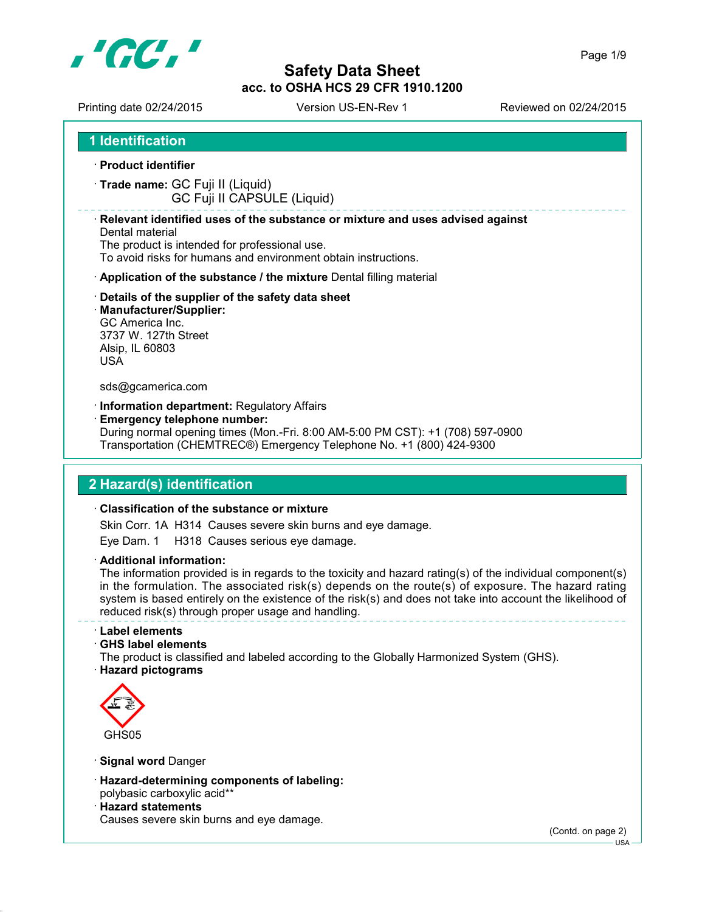

Page 1/9

Printing date 02/24/2015 Version US-EN-Rev 1 Reviewed on 02/24/2015

**1 Identification**

- **Product identifier**
- **Trade name:** GC Fuji II (Liquid)

GC Fuji II CAPSULE (Liquid)

#### **Relevant identified uses of the substance or mixture and uses advised against**

Dental material The product is intended for professional use. To avoid risks for humans and environment obtain instructions.

- **Application of the substance / the mixture** Dental filling material
- **Details of the supplier of the safety data sheet**
- **Manufacturer/Supplier:** GC America Inc. 3737 W. 127th Street Alsip, IL 60803 USA

#### sds@gcamerica.com

- **Information department:** Regulatory Affairs
- **Emergency telephone number:**

During normal opening times (Mon.-Fri. 8:00 AM-5:00 PM CST): +1 (708) 597-0900 Transportation (CHEMTREC®) Emergency Telephone No. +1 (800) 424-9300

### **2 Hazard(s) identification**

#### **Classification of the substance or mixture**

Skin Corr. 1A H314 Causes severe skin burns and eye damage.

Eye Dam. 1 H318 Causes serious eye damage.

**Additional information:**

The information provided is in regards to the toxicity and hazard rating(s) of the individual component(s) in the formulation. The associated risk(s) depends on the route(s) of exposure. The hazard rating system is based entirely on the existence of the risk(s) and does not take into account the likelihood of reduced risk(s) through proper usage and handling.

**Label elements**

**GHS label elements**

The product is classified and labeled according to the Globally Harmonized System (GHS).

**Hazard pictograms**



- **Signal word** Danger
- **Hazard-determining components of labeling:** polybasic carboxylic acid\*\*
- **Hazard statements** Causes severe skin burns and eye damage.

(Contd. on page 2)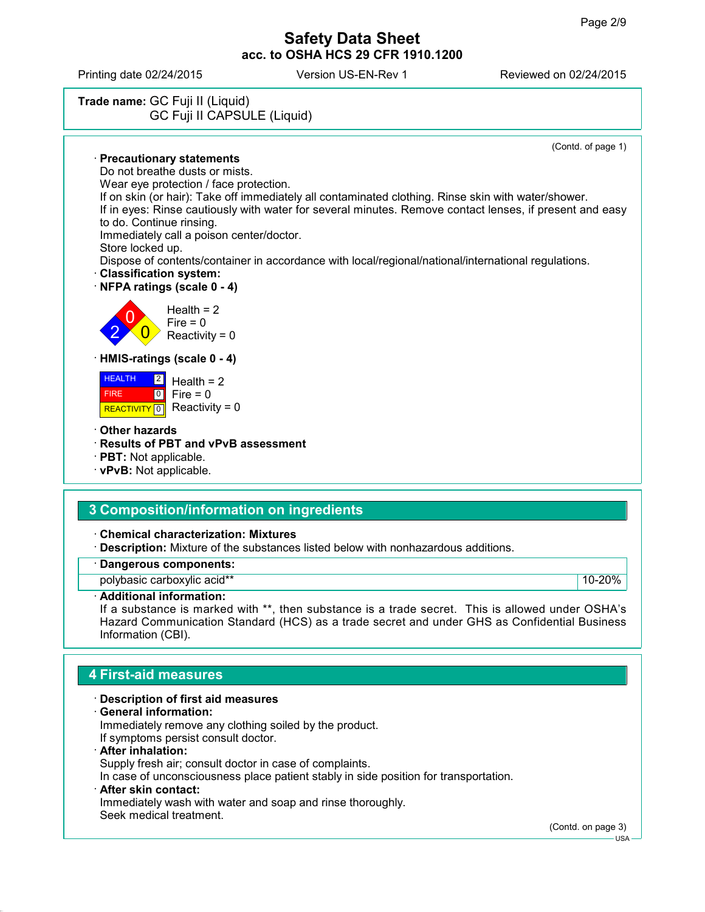Printing date 02/24/2015 Version US-EN-Rev 1 Reviewed on 02/24/2015



**Chemical characterization: Mixtures**

**Description:** Mixture of the substances listed below with nonhazardous additions.

### **Dangerous components:**

polybasic carboxylic acid\*\* 10-20%

### **Additional information:**

If a substance is marked with \*\*, then substance is a trade secret. This is allowed under OSHA's Hazard Communication Standard (HCS) as a trade secret and under GHS as Confidential Business Information (CBI).

## **4 First-aid measures**

### **Description of first aid measures**

**General information:**

Immediately remove any clothing soiled by the product. If symptoms persist consult doctor.

**After inhalation:**

Supply fresh air; consult doctor in case of complaints.

In case of unconsciousness place patient stably in side position for transportation.

#### **After skin contact:**

Immediately wash with water and soap and rinse thoroughly. Seek medical treatment.

(Contd. on page 3)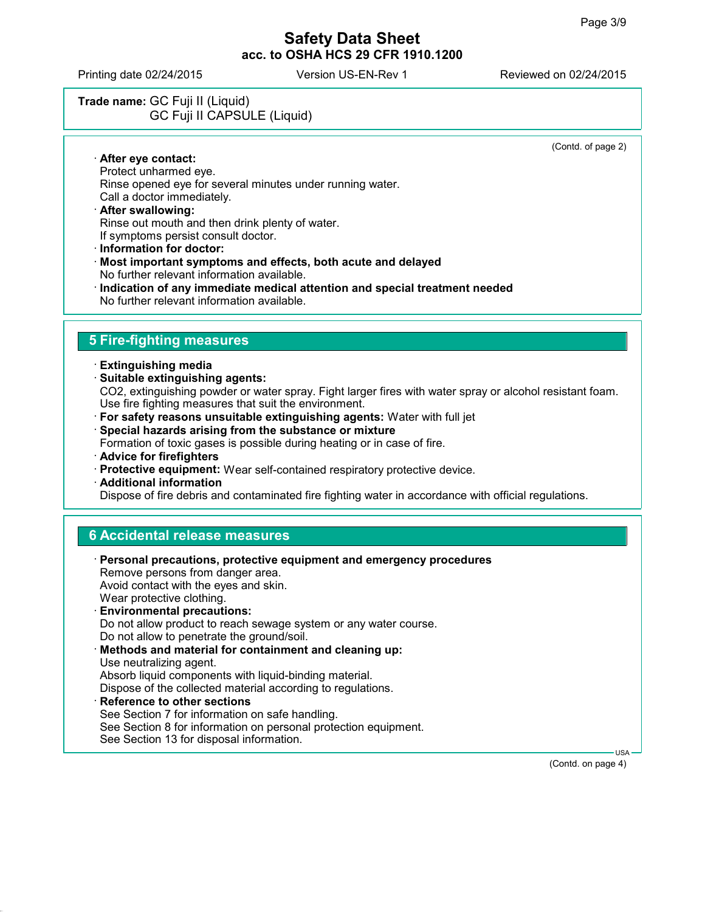Printing date 02/24/2015 Version US-EN-Rev 1 Reviewed on 02/24/2015

# **Trade name:** GC Fuji II (Liquid) GC Fuji II CAPSULE (Liquid)

(Contd. of page 2)

 **After eye contact:** Protect unharmed eye. Rinse opened eye for several minutes under running water. Call a doctor immediately.

#### **After swallowing:** Rinse out mouth and then drink plenty of water. If symptoms persist consult doctor.

- **Information for doctor:**
- **Most important symptoms and effects, both acute and delayed** No further relevant information available.
- **Indication of any immediate medical attention and special treatment needed** No further relevant information available.

# **5 Fire-fighting measures**

- **Extinguishing media**
- **Suitable extinguishing agents:** CO2, extinguishing powder or water spray. Fight larger fires with water spray or alcohol resistant foam. Use fire fighting measures that suit the environment.
- **For safety reasons unsuitable extinguishing agents:** Water with full jet
- **Special hazards arising from the substance or mixture**

Formation of toxic gases is possible during heating or in case of fire.

- **Advice for firefighters**
- **Protective equipment:** Wear self-contained respiratory protective device.
- **Additional information**

Dispose of fire debris and contaminated fire fighting water in accordance with official regulations.

### **6 Accidental release measures**

| · Personal precautions, protective equipment and emergency procedures<br>Remove persons from danger area. |
|-----------------------------------------------------------------------------------------------------------|
| Avoid contact with the eyes and skin.<br>Wear protective clothing.                                        |
| <b>Environmental precautions:</b>                                                                         |
| Do not allow product to reach sewage system or any water course.                                          |
| Do not allow to penetrate the ground/soil.                                                                |
| Methods and material for containment and cleaning up:                                                     |
| Use neutralizing agent.                                                                                   |
| Absorb liquid components with liquid-binding material.                                                    |
| Dispose of the collected material according to regulations.                                               |
| $\cdot$ Reference to other sections                                                                       |
| See Section 7 for information on safe handling.                                                           |
| See Section 8 for information on personal protection equipment.                                           |

See Section 13 for disposal information.

USA

(Contd. on page 4)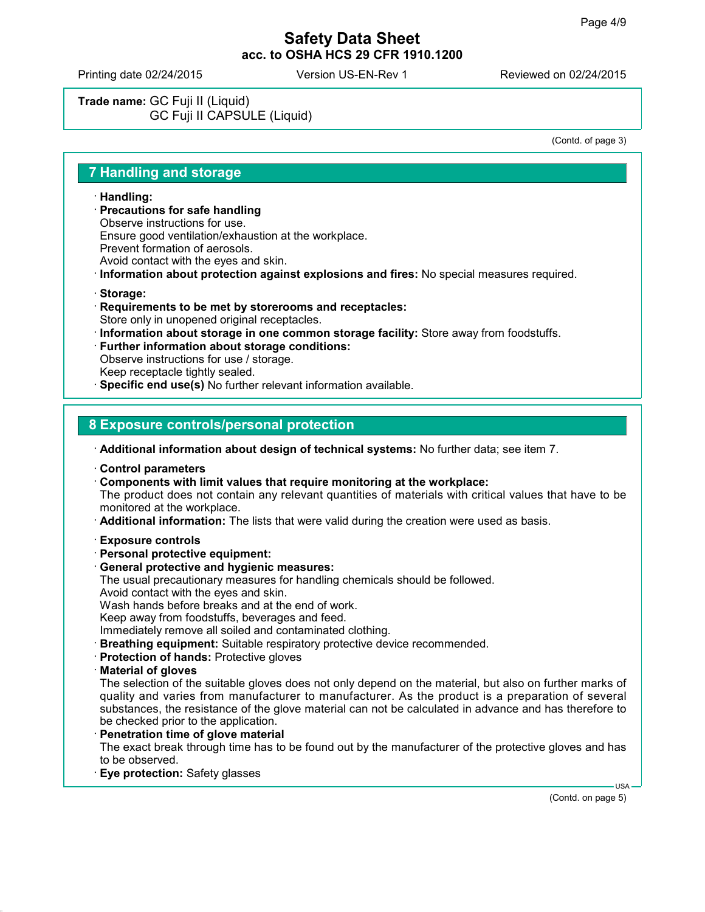Printing date 02/24/2015 Version US-EN-Rev 1 Reviewed on 02/24/2015

**Trade name:** GC Fuji II (Liquid) GC Fuji II CAPSULE (Liquid)

(Contd. of page 3)

### **7 Handling and storage**

- **Handling:**
- **Precautions for safe handling**
- Observe instructions for use.
- Ensure good ventilation/exhaustion at the workplace.
- Prevent formation of aerosols.
- Avoid contact with the eyes and skin.
- **Information about protection against explosions and fires:** No special measures required.
- **Storage:**
- **Requirements to be met by storerooms and receptacles:** Store only in unopened original receptacles.
- **Information about storage in one common storage facility:** Store away from foodstuffs.
- **Further information about storage conditions:** Observe instructions for use / storage. Keep receptacle tightly sealed. **Specific end use(s)** No further relevant information available.

### **8 Exposure controls/personal protection**

**Additional information about design of technical systems:** No further data; see item 7.

- **Control parameters**
- **Components with limit values that require monitoring at the workplace:**

The product does not contain any relevant quantities of materials with critical values that have to be monitored at the workplace.

- **Additional information:** The lists that were valid during the creation were used as basis.
- **Exposure controls**
- **Personal protective equipment:**
- **General protective and hygienic measures:**
- The usual precautionary measures for handling chemicals should be followed.
- Avoid contact with the eyes and skin.

Wash hands before breaks and at the end of work.

Keep away from foodstuffs, beverages and feed.

Immediately remove all soiled and contaminated clothing.

- **Breathing equipment:** Suitable respiratory protective device recommended.
- **Protection of hands:** Protective gloves
- **Material of gloves**

The selection of the suitable gloves does not only depend on the material, but also on further marks of quality and varies from manufacturer to manufacturer. As the product is a preparation of several substances, the resistance of the glove material can not be calculated in advance and has therefore to be checked prior to the application.

- **Penetration time of glove material** The exact break through time has to be found out by the manufacturer of the protective gloves and has to be observed.
- **Eye protection:** Safety glasses

(Contd. on page 5)

USA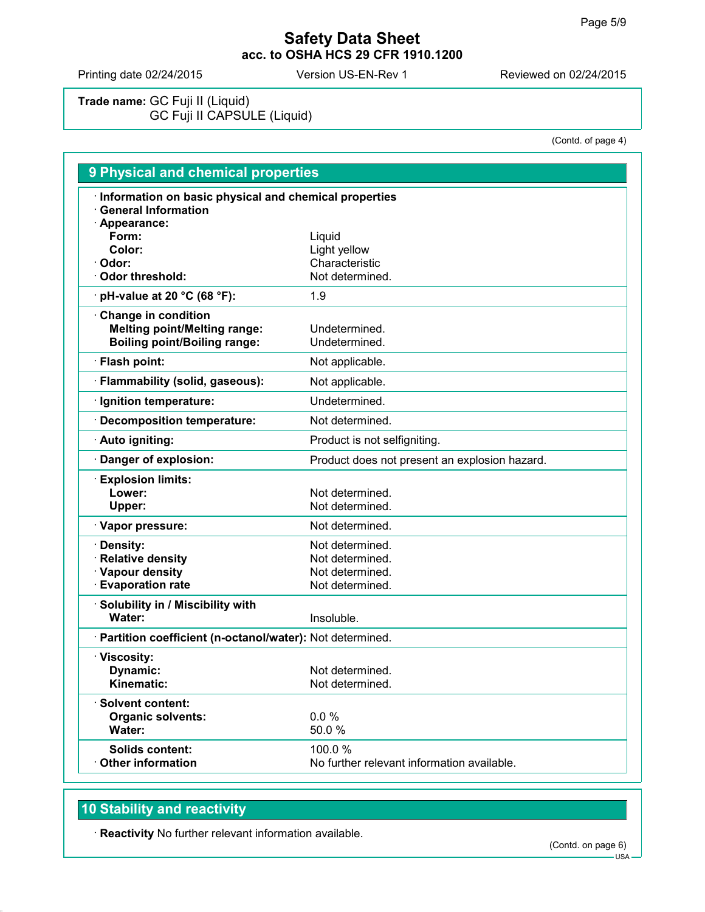Printing date 02/24/2015 Version US-EN-Rev 1 Reviewed on 02/24/2015

**Trade name:** GC Fuji II (Liquid) GC Fuji II CAPSULE (Liquid)

(Contd. of page 4)

| 9 Physical and chemical properties                                                    |                                               |  |
|---------------------------------------------------------------------------------------|-----------------------------------------------|--|
| · Information on basic physical and chemical properties<br><b>General Information</b> |                                               |  |
| · Appearance:<br>Form:                                                                | Liquid                                        |  |
| Color:                                                                                | Light yellow                                  |  |
| · Odor:                                                                               | Characteristic                                |  |
| Odor threshold:                                                                       | Not determined.                               |  |
| $\cdot$ pH-value at 20 °C (68 °F):                                                    | 1.9                                           |  |
| Change in condition                                                                   |                                               |  |
| <b>Melting point/Melting range:</b>                                                   | Undetermined.                                 |  |
| <b>Boiling point/Boiling range:</b>                                                   | Undetermined.                                 |  |
| · Flash point:                                                                        | Not applicable.                               |  |
| · Flammability (solid, gaseous):                                                      | Not applicable.                               |  |
| · Ignition temperature:                                                               | Undetermined.                                 |  |
| Decomposition temperature:                                                            | Not determined.                               |  |
| · Auto igniting:                                                                      | Product is not selfigniting.                  |  |
| Danger of explosion:                                                                  | Product does not present an explosion hazard. |  |
| <b>Explosion limits:</b>                                                              |                                               |  |
| Lower:                                                                                | Not determined.                               |  |
| Upper:                                                                                | Not determined.                               |  |
| · Vapor pressure:                                                                     | Not determined.                               |  |
| · Density:                                                                            | Not determined.                               |  |
| · Relative density                                                                    | Not determined.                               |  |
| · Vapour density                                                                      | Not determined.                               |  |
| <b>Evaporation rate</b>                                                               | Not determined.                               |  |
| Solubility in / Miscibility with                                                      |                                               |  |
| Water:                                                                                | Insoluble.                                    |  |
| · Partition coefficient (n-octanol/water): Not determined.                            |                                               |  |
| · Viscosity:                                                                          |                                               |  |
| Dynamic:                                                                              | Not determined.                               |  |
| Kinematic:                                                                            | Not determined.                               |  |
| · Solvent content:                                                                    |                                               |  |
| <b>Organic solvents:</b>                                                              | 0.0%                                          |  |
| Water:                                                                                | 50.0%                                         |  |
| <b>Solids content:</b>                                                                | 100.0%                                        |  |
| Other information                                                                     | No further relevant information available.    |  |

# **10 Stability and reactivity**

**Reactivity** No further relevant information available.

 $-$  USA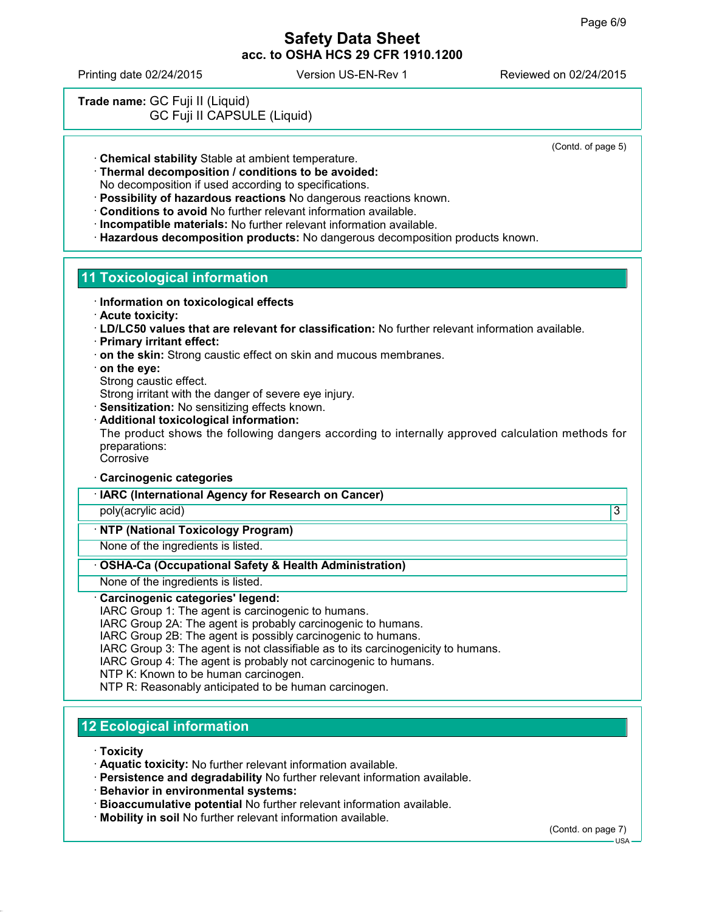Printing date 02/24/2015 Version US-EN-Rev 1 Reviewed on 02/24/2015

# **Trade name:** GC Fuji II (Liquid) GC Fuji II CAPSULE (Liquid)

(Contd. of page 5)

**Chemical stability** Stable at ambient temperature.

**Thermal decomposition / conditions to be avoided:**

No decomposition if used according to specifications.

- **Possibility of hazardous reactions** No dangerous reactions known.
- **Conditions to avoid** No further relevant information available.
- **Incompatible materials:** No further relevant information available.
- **Hazardous decomposition products:** No dangerous decomposition products known.

# **11 Toxicological information**

- **Information on toxicological effects**
- **Acute toxicity:**
- **LD/LC50 values that are relevant for classification:** No further relevant information available.
- **Primary irritant effect:**
- **on the skin:** Strong caustic effect on skin and mucous membranes.
- **on the eye:**
- Strong caustic effect.

Strong irritant with the danger of severe eye injury.

- **Sensitization:** No sensitizing effects known.
- **Additional toxicological information:**

The product shows the following dangers according to internally approved calculation methods for preparations:

**Corrosive** 

- **Carcinogenic categories**
- **IARC (International Agency for Research on Cancer)**
- poly(acrylic acid) 3

## **NTP (National Toxicology Program)**

None of the ingredients is listed.

### **OSHA-Ca (Occupational Safety & Health Administration)**

None of the ingredients is listed.

### **Carcinogenic categories' legend:**

IARC Group 1: The agent is carcinogenic to humans.

IARC Group 2A: The agent is probably carcinogenic to humans.

IARC Group 2B: The agent is possibly carcinogenic to humans.

IARC Group 3: The agent is not classifiable as to its carcinogenicity to humans.

IARC Group 4: The agent is probably not carcinogenic to humans.

NTP K: Known to be human carcinogen.

NTP R: Reasonably anticipated to be human carcinogen.

# **12 Ecological information**

**Toxicity**

- **Aquatic toxicity:** No further relevant information available.
- **Persistence and degradability** No further relevant information available.
- **Behavior in environmental systems:**
- **Bioaccumulative potential** No further relevant information available.
- **Mobility in soil** No further relevant information available.

(Contd. on page 7)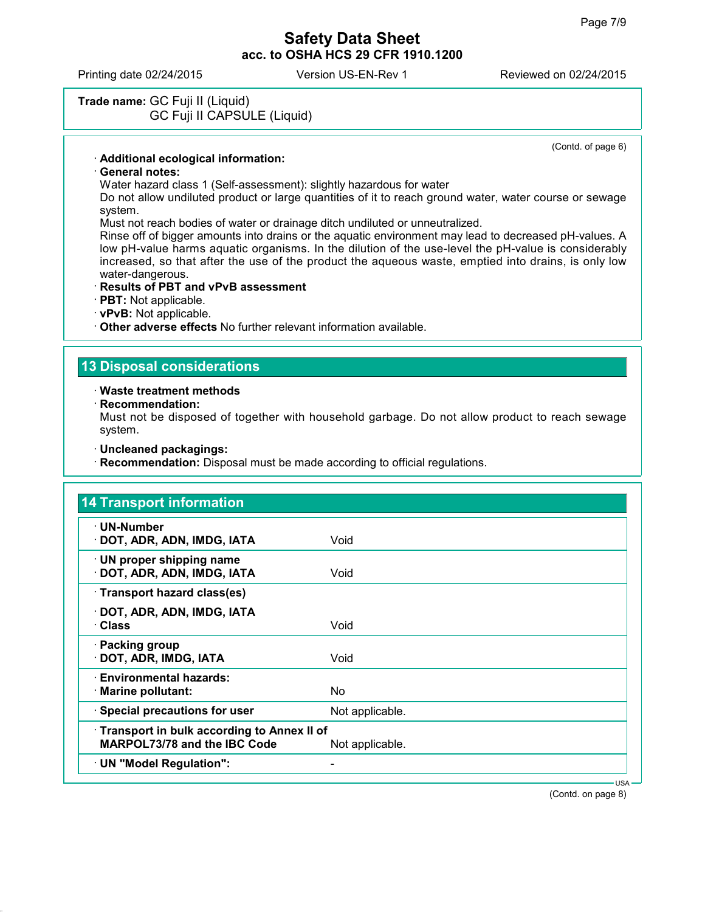Printing date 02/24/2015 Version US-EN-Rev 1 Reviewed on 02/24/2015

## **Trade name:** GC Fuji II (Liquid) GC Fuji II CAPSULE (Liquid)

(Contd. of page 6)

#### **Additional ecological information:**

#### **General notes:**

Water hazard class 1 (Self-assessment): slightly hazardous for water

Do not allow undiluted product or large quantities of it to reach ground water, water course or sewage system.

Must not reach bodies of water or drainage ditch undiluted or unneutralized.

Rinse off of bigger amounts into drains or the aquatic environment may lead to decreased pH-values. A low pH-value harms aquatic organisms. In the dilution of the use-level the pH-value is considerably increased, so that after the use of the product the aqueous waste, emptied into drains, is only low water-dangerous.

#### **Results of PBT and vPvB assessment**

**PBT:** Not applicable.

**vPvB:** Not applicable.

**Other adverse effects** No further relevant information available.

### **13 Disposal considerations**

#### **Waste treatment methods**

**Recommendation:**

Must not be disposed of together with household garbage. Do not allow product to reach sewage system.

- **Uncleaned packagings:**
- **Recommendation:** Disposal must be made according to official regulations.

| · UN-Number                                                                       |                 |  |
|-----------------------------------------------------------------------------------|-----------------|--|
| · DOT, ADR, ADN, IMDG, IATA                                                       | Void            |  |
| · UN proper shipping name<br>· DOT, ADR, ADN, IMDG, IATA                          | Void            |  |
| · Transport hazard class(es)                                                      |                 |  |
| · DOT, ADR, ADN, IMDG, IATA<br>· Class                                            | Void            |  |
| · Packing group<br>· DOT, ADR, IMDG, IATA                                         | Void            |  |
| · Environmental hazards:<br>· Marine pollutant:                                   | No.             |  |
| · Special precautions for user                                                    | Not applicable. |  |
| Transport in bulk according to Annex II of<br><b>MARPOL73/78 and the IBC Code</b> | Not applicable. |  |
| · UN "Model Regulation":                                                          | -               |  |

(Contd. on page 8)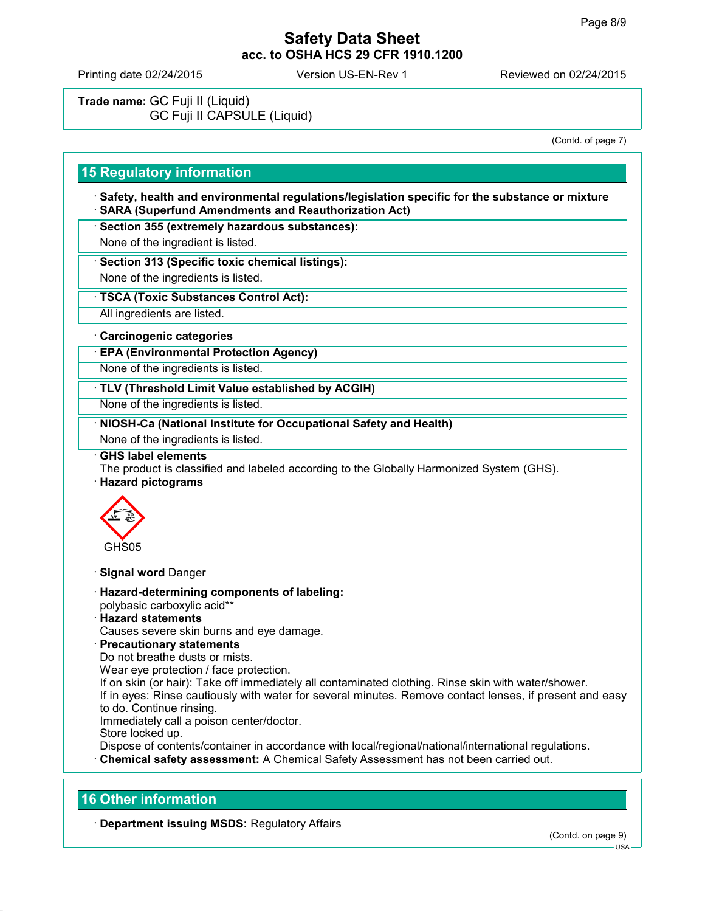Printing date 02/24/2015 Version US-EN-Rev 1 Reviewed on 02/24/2015

**Trade name:** GC Fuji II (Liquid) GC Fuji II CAPSULE (Liquid)

(Contd. of page 7)

# **15 Regulatory information**

 **Safety, health and environmental regulations/legislation specific for the substance or mixture SARA (Superfund Amendments and Reauthorization Act)**

**Section 355 (extremely hazardous substances):**

None of the ingredient is listed.

**Section 313 (Specific toxic chemical listings):**

None of the ingredients is listed.

**TSCA (Toxic Substances Control Act):**

All ingredients are listed.

#### **Carcinogenic categories**

**EPA (Environmental Protection Agency)**

None of the ingredients is listed.

**TLV (Threshold Limit Value established by ACGIH)**

None of the ingredients is listed.

**NIOSH-Ca (National Institute for Occupational Safety and Health)**

None of the ingredients is listed.

#### **GHS label elements**

The product is classified and labeled according to the Globally Harmonized System (GHS).

**Hazard pictograms**



- **Signal word** Danger
- **Hazard-determining components of labeling:** polybasic carboxylic acid\*\*
- **Hazard statements**
- Causes severe skin burns and eye damage.
- **Precautionary statements**

Do not breathe dusts or mists.

Wear eye protection / face protection.

If on skin (or hair): Take off immediately all contaminated clothing. Rinse skin with water/shower. If in eyes: Rinse cautiously with water for several minutes. Remove contact lenses, if present and easy to do. Continue rinsing.

Immediately call a poison center/doctor.

Store locked up.

Dispose of contents/container in accordance with local/regional/national/international regulations. **Chemical safety assessment:** A Chemical Safety Assessment has not been carried out.

### **16 Other information**

**Department issuing MSDS:** Regulatory Affairs

 $11S<sub>4</sub>$